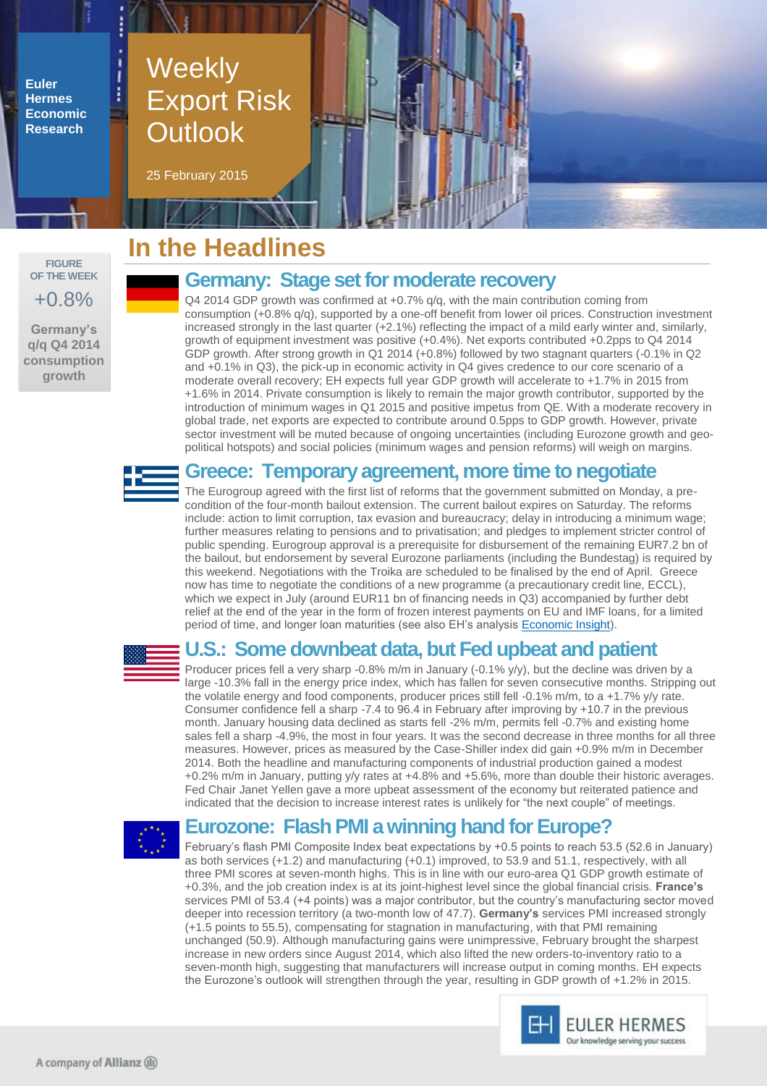**Euler Hermes Economic Research**

# Weekly Export Risk **Outlook**

25 February 2015

**FIGURE OF THE WEEK** +0.8%

**Germany's q/q Q4 2014 consumption growth**

# **In the Headlines**

### **Germany: Stage set for moderate recovery**

Q4 2014 GDP growth was confirmed at +0.7% q/q, with the main contribution coming from consumption (+0.8% q/q), supported by a one-off benefit from lower oil prices. Construction investment increased strongly in the last quarter (+2.1%) reflecting the impact of a mild early winter and, similarly, growth of equipment investment was positive (+0.4%). Net exports contributed +0.2pps to Q4 2014 GDP growth. After strong growth in Q1 2014 (+0.8%) followed by two stagnant quarters (-0.1% in Q2 and +0.1% in Q3), the pick-up in economic activity in Q4 gives credence to our core scenario of a moderate overall recovery; EH expects full year GDP growth will accelerate to +1.7% in 2015 from +1.6% in 2014. Private consumption is likely to remain the major growth contributor, supported by the introduction of minimum wages in Q1 2015 and positive impetus from QE. With a moderate recovery in global trade, net exports are expected to contribute around 0.5pps to GDP growth. However, private sector investment will be muted because of ongoing uncertainties (including Eurozone growth and geopolitical hotspots) and social policies (minimum wages and pension reforms) will weigh on margins.

### **Greece: Temporary agreement, more time to negotiate**

The Eurogroup agreed with the first list of reforms that the government submitted on Monday, a precondition of the four-month bailout extension. The current bailout expires on Saturday. The reforms include: action to limit corruption, tax evasion and bureaucracy; delay in introducing a minimum wage; further measures relating to pensions and to privatisation; and pledges to implement stricter control of public spending. Eurogroup approval is a prerequisite for disbursement of the remaining EUR7.2 bn of the bailout, but endorsement by several Eurozone parliaments (including the Bundestag) is required by this weekend. Negotiations with the Troika are scheduled to be finalised by the end of April. Greece now has time to negotiate the conditions of a new programme (a precautionary credit line, ECCL), which we expect in July (around EUR11 bn of financing needs in Q3) accompanied by further debt relief at the end of the year in the form of frozen interest payments on EU and IMF loans, for a limited period of time, and longer loan maturities (see also EH's analysis **Economic Insight**).



### **U.S.: Some downbeat data, but Fed upbeat and patient**

Producer prices fell a very sharp -0.8% m/m in January (-0.1% y/y), but the decline was driven by a large -10.3% fall in the energy price index, which has fallen for seven consecutive months. Stripping out the volatile energy and food components, producer prices still fell -0.1% m/m, to a +1.7% y/y rate. Consumer confidence fell a sharp -7.4 to 96.4 in February after improving by +10.7 in the previous month. January housing data declined as starts fell -2% m/m, permits fell -0.7% and existing home sales fell a sharp -4.9%, the most in four years. It was the second decrease in three months for all three measures. However, prices as measured by the Case-Shiller index did gain +0.9% m/m in December 2014. Both the headline and manufacturing components of industrial production gained a modest +0.2% m/m in January, putting y/y rates at +4.8% and +5.6%, more than double their historic averages. Fed Chair Janet Yellen gave a more upbeat assessment of the economy but reiterated patience and indicated that the decision to increase interest rates is unlikely for "the next couple" of meetings.



### **Eurozone: Flash PMI a winning hand for Europe?**

February's flash PMI Composite Index beat expectations by +0.5 points to reach 53.5 (52.6 in January) as both services (+1.2) and manufacturing (+0.1) improved, to 53.9 and 51.1, respectively, with all three PMI scores at seven-month highs. This is in line with our euro-area Q1 GDP growth estimate of +0.3%, and the job creation index is at its joint-highest level since the global financial crisis. **France's** services PMI of 53.4 (+4 points) was a major contributor, but the country's manufacturing sector moved deeper into recession territory (a two-month low of 47.7). **Germany's** services PMI increased strongly (+1.5 points to 55.5), compensating for stagnation in manufacturing, with that PMI remaining unchanged (50.9). Although manufacturing gains were unimpressive, February brought the sharpest increase in new orders since August 2014, which also lifted the new orders-to-inventory ratio to a seven-month high, suggesting that manufacturers will increase output in coming months. EH expects the Eurozone's outlook will strengthen through the year, resulting in GDP growth of +1.2% in 2015.